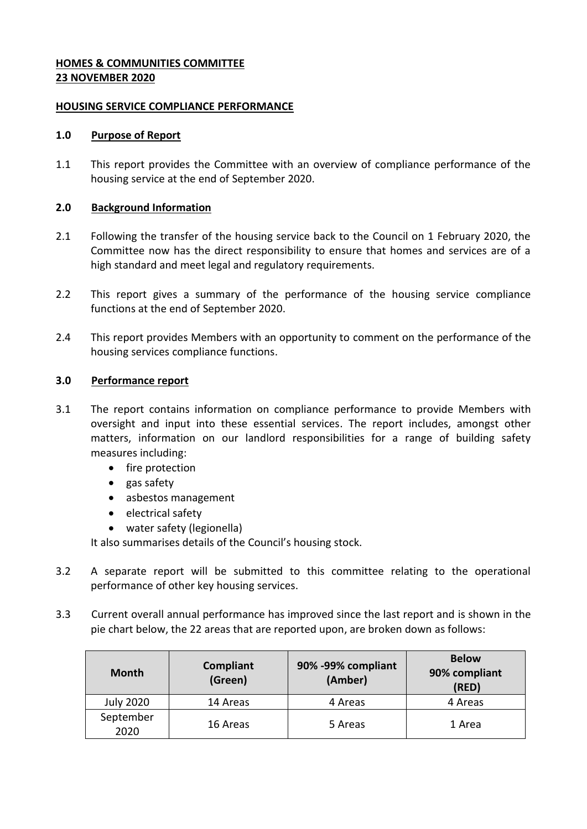# **HOMES & COMMUNITIES COMMITTEE 23 NOVEMBER 2020**

# **HOUSING SERVICE COMPLIANCE PERFORMANCE**

# **1.0 Purpose of Report**

1.1 This report provides the Committee with an overview of compliance performance of the housing service at the end of September 2020.

# **2.0 Background Information**

- 2.1 Following the transfer of the housing service back to the Council on 1 February 2020, the Committee now has the direct responsibility to ensure that homes and services are of a high standard and meet legal and regulatory requirements.
- 2.2 This report gives a summary of the performance of the housing service compliance functions at the end of September 2020.
- 2.4 This report provides Members with an opportunity to comment on the performance of the housing services compliance functions.

### **3.0 Performance report**

- 3.1 The report contains information on compliance performance to provide Members with oversight and input into these essential services. The report includes, amongst other matters, information on our landlord responsibilities for a range of building safety measures including:
	- fire protection
	- $\bullet$  gas safety
	- asbestos management
	- electrical safety
	- water safety (legionella)

It also summarises details of the Council's housing stock.

- 3.2 A separate report will be submitted to this committee relating to the operational performance of other key housing services.
- 3.3 Current overall annual performance has improved since the last report and is shown in the pie chart below, the 22 areas that are reported upon, are broken down as follows:

| <b>Month</b>      | Compliant<br>(Green) | 90% -99% compliant<br>(Amber) | <b>Below</b><br>90% compliant<br>(RED) |
|-------------------|----------------------|-------------------------------|----------------------------------------|
| <b>July 2020</b>  | 14 Areas             | 4 Areas                       | 4 Areas                                |
| September<br>2020 | 16 Areas             | 5 Areas                       | 1 Area                                 |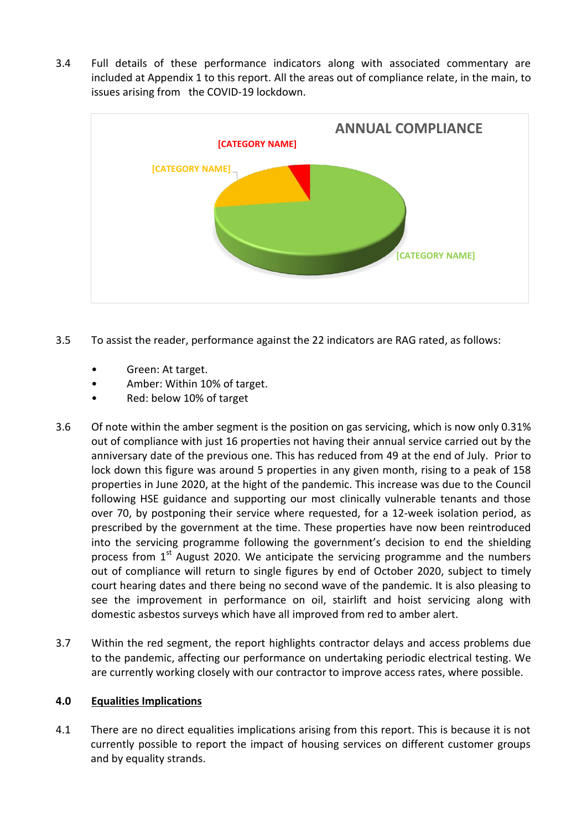3.4 Full details of these performance indicators along with associated commentary are included at Appendix 1 to this report. All the areas out of compliance relate, in the main, to issues arising from the COVID-19 lockdown.



- 3.5 To assist the reader, performance against the 22 indicators are RAG rated, as follows:
	- Green: At target.
	- Amber: Within 10% of target.
	- Red: below 10% of target
- 3.6 Of note within the amber segment is the position on gas servicing, which is now only 0.31% out of compliance with just 16 properties not having their annual service carried out by the anniversary date of the previous one. This has reduced from 49 at the end of July. Prior to lock down this figure was around 5 properties in any given month, rising to a peak of 158 properties in June 2020, at the hight of the pandemic. This increase was due to the Council following HSE guidance and supporting our most clinically vulnerable tenants and those over 70, by postponing their service where requested, for a 12-week isolation period, as prescribed by the government at the time. These properties have now been reintroduced into the servicing programme following the government's decision to end the shielding process from 1<sup>st</sup> August 2020. We anticipate the servicing programme and the numbers out of compliance will return to single figures by end of October 2020, subject to timely court hearing dates and there being no second wave of the pandemic. It is also pleasing to see the improvement in performance on oil, stairlift and hoist servicing along with domestic asbestos surveys which have all improved from red to amber alert.
- 3.7 Within the red segment, the report highlights contractor delays and access problems due to the pandemic, affecting our performance on undertaking periodic electrical testing. We are currently working closely with our contractor to improve access rates, where possible.

### **4.0 Equalities Implications**

4.1 There are no direct equalities implications arising from this report. This is because it is not currently possible to report the impact of housing services on different customer groups and by equality strands.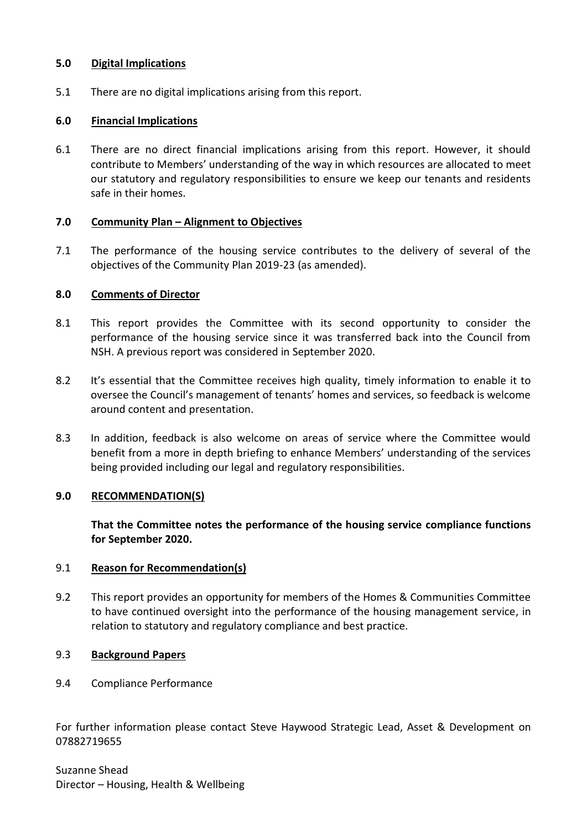# **5.0 Digital Implications**

5.1 There are no digital implications arising from this report.

# **6.0 Financial Implications**

6.1 There are no direct financial implications arising from this report. However, it should contribute to Members' understanding of the way in which resources are allocated to meet our statutory and regulatory responsibilities to ensure we keep our tenants and residents safe in their homes.

# **7.0 Community Plan – Alignment to Objectives**

7.1 The performance of the housing service contributes to the delivery of several of the objectives of the Community Plan 2019-23 (as amended).

# **8.0 Comments of Director**

- 8.1 This report provides the Committee with its second opportunity to consider the performance of the housing service since it was transferred back into the Council from NSH. A previous report was considered in September 2020.
- 8.2 It's essential that the Committee receives high quality, timely information to enable it to oversee the Council's management of tenants' homes and services, so feedback is welcome around content and presentation.
- 8.3 In addition, feedback is also welcome on areas of service where the Committee would benefit from a more in depth briefing to enhance Members' understanding of the services being provided including our legal and regulatory responsibilities.

# **9.0 RECOMMENDATION(S)**

**That the Committee notes the performance of the housing service compliance functions for September 2020.**

# 9.1 **Reason for Recommendation(s)**

9.2 This report provides an opportunity for members of the Homes & Communities Committee to have continued oversight into the performance of the housing management service, in relation to statutory and regulatory compliance and best practice.

# 9.3 **Background Papers**

9.4 Compliance Performance

For further information please contact Steve Haywood Strategic Lead, Asset & Development on 07882719655

Suzanne Shead Director – Housing, Health & Wellbeing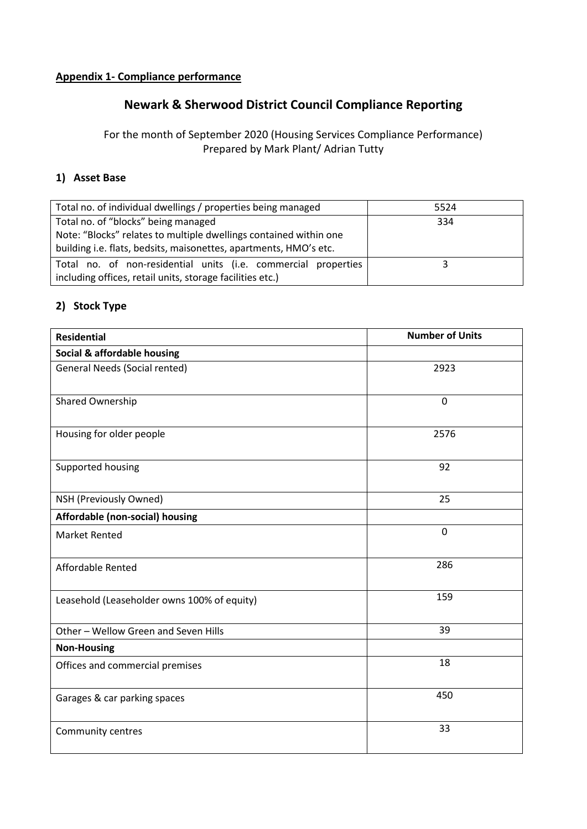# **Appendix 1- Compliance performance**

# **Newark & Sherwood District Council Compliance Reporting**

# For the month of September 2020 (Housing Services Compliance Performance) Prepared by Mark Plant/ Adrian Tutty

# **1) Asset Base**

| Total no. of individual dwellings / properties being managed      | 5524 |
|-------------------------------------------------------------------|------|
| Total no. of "blocks" being managed                               | 334  |
| Note: "Blocks" relates to multiple dwellings contained within one |      |
| building i.e. flats, bedsits, maisonettes, apartments, HMO's etc. |      |
| Total no. of non-residential units (i.e. commercial properties    |      |
| including offices, retail units, storage facilities etc.)         |      |

# **2) Stock Type**

| <b>Residential</b>                          | <b>Number of Units</b> |
|---------------------------------------------|------------------------|
| Social & affordable housing                 |                        |
| <b>General Needs (Social rented)</b>        | 2923                   |
| Shared Ownership                            | $\mathbf 0$            |
| Housing for older people                    | 2576                   |
| Supported housing                           | 92                     |
| NSH (Previously Owned)                      | 25                     |
| Affordable (non-social) housing             |                        |
| <b>Market Rented</b>                        | $\overline{0}$         |
| Affordable Rented                           | 286                    |
| Leasehold (Leaseholder owns 100% of equity) | 159                    |
| Other - Wellow Green and Seven Hills        | 39                     |
| <b>Non-Housing</b>                          |                        |
| Offices and commercial premises             | 18                     |
| Garages & car parking spaces                | 450                    |
| Community centres                           | 33                     |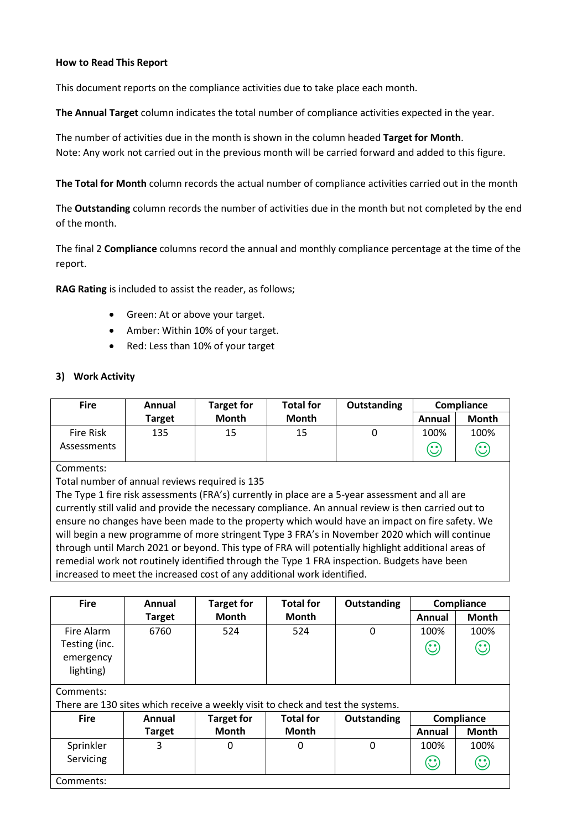### **How to Read This Report**

This document reports on the compliance activities due to take place each month.

**The Annual Target** column indicates the total number of compliance activities expected in the year.

The number of activities due in the month is shown in the column headed **Target for Month**. Note: Any work not carried out in the previous month will be carried forward and added to this figure.

**The Total for Month** column records the actual number of compliance activities carried out in the month

The **Outstanding** column records the number of activities due in the month but not completed by the end of the month.

The final 2 **Compliance** columns record the annual and monthly compliance percentage at the time of the report.

**RAG Rating** is included to assist the reader, as follows;

- Green: At or above your target.
- Amber: Within 10% of your target.
- Red: Less than 10% of your target

### **3) Work Activity**

| <b>Fire</b> | Annual | <b>Target for</b> | <b>Total for</b> | Outstanding | Compliance |                                        |
|-------------|--------|-------------------|------------------|-------------|------------|----------------------------------------|
|             | Target | Month             | <b>Month</b>     |             | Annual     | <b>Month</b>                           |
| Fire Risk   | 135    | 15                | 15               |             | 100%       | 100%                                   |
| Assessments |        |                   |                  |             | r.,<br>ש   | $\mathbb{C}% _{0}^{X\left( t\right) }$ |

Comments:

Total number of annual reviews required is 135

The Type 1 fire risk assessments (FRA's) currently in place are a 5-year assessment and all are currently still valid and provide the necessary compliance. An annual review is then carried out to ensure no changes have been made to the property which would have an impact on fire safety. We will begin a new programme of more stringent Type 3 FRA's in November 2020 which will continue through until March 2021 or beyond. This type of FRA will potentially highlight additional areas of remedial work not routinely identified through the Type 1 FRA inspection. Budgets have been increased to meet the increased cost of any additional work identified.

| <b>Fire</b>                | Annual                                                                          | <b>Target for</b> | <b>Total for</b> | <b>Outstanding</b> |                    | Compliance                                                                |
|----------------------------|---------------------------------------------------------------------------------|-------------------|------------------|--------------------|--------------------|---------------------------------------------------------------------------|
|                            | <b>Target</b>                                                                   | <b>Month</b>      | <b>Month</b>     |                    | Annual             | <b>Month</b>                                                              |
| Fire Alarm                 | 6760                                                                            | 524               | 524              | 0                  | 100%               | 100%                                                                      |
| Testing (inc.<br>emergency |                                                                                 |                   |                  |                    | $\mathbb{C}$       | $\mathbf{\large \textcirc \quad \large \large \textcirc \quad \large \ }$ |
| lighting)                  |                                                                                 |                   |                  |                    |                    |                                                                           |
| Comments:                  |                                                                                 |                   |                  |                    |                    |                                                                           |
|                            | There are 130 sites which receive a weekly visit to check and test the systems. |                   |                  |                    |                    |                                                                           |
| <b>Fire</b>                | Annual                                                                          | <b>Target for</b> | <b>Total for</b> | <b>Outstanding</b> |                    | Compliance                                                                |
|                            | <b>Target</b>                                                                   | <b>Month</b>      | <b>Month</b>     |                    | Annual             | <b>Month</b>                                                              |
| Sprinkler                  | 3                                                                               | 0                 | 0                | 0                  | 100%               | 100%                                                                      |
| Servicing                  |                                                                                 |                   |                  |                    | $\mathbf{\hat{C}}$ | $\mathbb{C}$                                                              |
| Comments:                  |                                                                                 |                   |                  |                    |                    |                                                                           |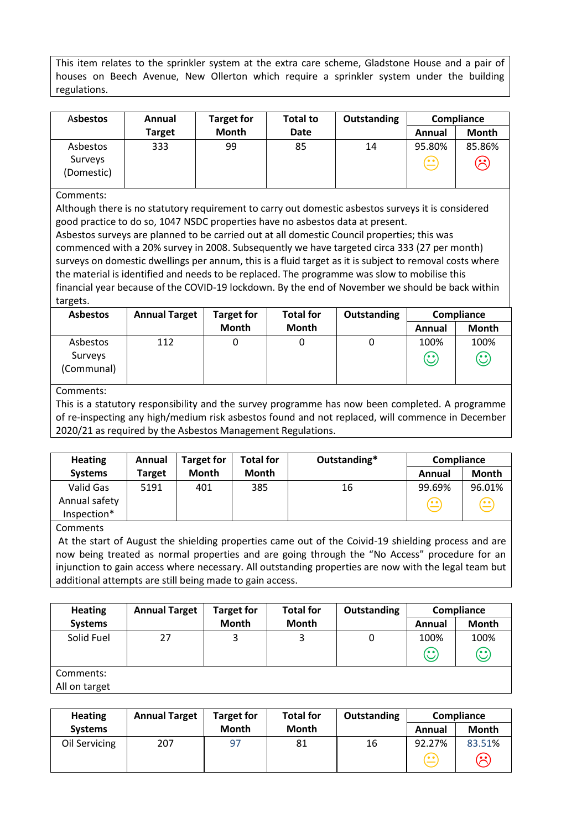This item relates to the sprinkler system at the extra care scheme, Gladstone House and a pair of houses on Beech Avenue, New Ollerton which require a sprinkler system under the building regulations.

| Asbestos                          | Annual        | <b>Target for</b> | <b>Total to</b> | Outstanding | Compliance                                                           |                                                                                                                                                                                                   |
|-----------------------------------|---------------|-------------------|-----------------|-------------|----------------------------------------------------------------------|---------------------------------------------------------------------------------------------------------------------------------------------------------------------------------------------------|
|                                   | <b>Target</b> | <b>Month</b>      | Date            |             | Annual                                                               | Month                                                                                                                                                                                             |
| Asbestos<br>Surveys<br>(Domestic) | 333           | 99                | 85              | 14          | 95.80%<br>$\left( \begin{matrix} \cdot \ \cdot \end{matrix} \right)$ | 85.86%<br>$\mathfrak{S}% _{A}^{\ast }=\mathfrak{S}_{A}\!\!\left( A;B\right) ,\ \mathfrak{S}_{A}\!\!\left( A;B\right) _{\phantom{\sigma \sigma \sigma }}= \mathfrak{S}_{A}\!\!\left( A;B\right) ,$ |

### Comments:

Although there is no statutory requirement to carry out domestic asbestos surveys it is considered good practice to do so, 1047 NSDC properties have no asbestos data at present.

Asbestos surveys are planned to be carried out at all domestic Council properties; this was commenced with a 20% survey in 2008. Subsequently we have targeted circa 333 (27 per month) surveys on domestic dwellings per annum, this is a fluid target as it is subject to removal costs where the material is identified and needs to be replaced. The programme was slow to mobilise this financial year because of the COVID-19 lockdown. By the end of November we should be back within targets.

| <b>Asbestos</b>                   | <b>Annual Target</b> | <b>Target for</b> | <b>Total for</b> | Outstanding | Compliance      |                                                                                                                                                                                                                                                                                                                                                                                                                                                                 |
|-----------------------------------|----------------------|-------------------|------------------|-------------|-----------------|-----------------------------------------------------------------------------------------------------------------------------------------------------------------------------------------------------------------------------------------------------------------------------------------------------------------------------------------------------------------------------------------------------------------------------------------------------------------|
|                                   |                      | <b>Month</b>      | <b>Month</b>     |             | Annual          | Month                                                                                                                                                                                                                                                                                                                                                                                                                                                           |
| Asbestos<br>Surveys<br>(Communal) | 112                  |                   |                  |             | 100%<br>$\odot$ | 100%<br>$\mathbb{C}% ^{N}\times\mathbb{C}^{N}\times\mathbb{C}^{N}\times\mathbb{C}^{N}\times\mathbb{C}^{N}\times\mathbb{C}^{N}\times\mathbb{C}^{N}\times\mathbb{C}^{N}\times\mathbb{C}^{N}\times\mathbb{C}^{N}\times\mathbb{C}^{N}\times\mathbb{C}^{N}\times\mathbb{C}^{N}\times\mathbb{C}^{N}\times\mathbb{C}^{N}\times\mathbb{C}^{N}\times\mathbb{C}^{N}\times\mathbb{C}^{N}\times\mathbb{C}^{N}\times\mathbb{C}^{N}\times\mathbb{C}^{N}\times\mathbb{C}^{N}\$ |

Comments:

This is a statutory responsibility and the survey programme has now been completed. A programme of re-inspecting any high/medium risk asbestos found and not replaced, will commence in December 2020/21 as required by the Asbestos Management Regulations.

| <b>Heating</b>                            | Annual        | <b>Target for</b> | <b>Total for</b> | Outstanding* | Compliance            |                                  |
|-------------------------------------------|---------------|-------------------|------------------|--------------|-----------------------|----------------------------------|
| <b>Systems</b>                            | <b>Target</b> | <b>Month</b>      | <b>Month</b>     |              | Annual                | Month                            |
| Valid Gas<br>Annual safety<br>Inspection* | 5191          | 401               | 385              | 16           | 99.69%<br>$\bigoplus$ | 96.01%<br>$\widehat{\mathbb{G}}$ |

Comments

At the start of August the shielding properties came out of the Coivid-19 shielding process and are now being treated as normal properties and are going through the "No Access" procedure for an injunction to gain access where necessary. All outstanding properties are now with the legal team but additional attempts are still being made to gain access.

| <b>Heating</b> | <b>Annual Target</b> | <b>Target for</b> | <b>Total for</b> | <b>Outstanding</b> | Compliance |              |
|----------------|----------------------|-------------------|------------------|--------------------|------------|--------------|
| <b>Systems</b> |                      | <b>Month</b>      | <b>Month</b>     |                    | Annual     | Month        |
| Solid Fuel     | 27                   |                   |                  | 0                  | 100%       | 100%         |
|                |                      |                   |                  |                    | $\odot$    | $\mathbb{C}$ |
| Comments:      |                      |                   |                  |                    |            |              |
| All on target  |                      |                   |                  |                    |            |              |

| <b>Heating</b> | <b>Annual Target</b> | Target for   | <b>Total for</b> | Outstanding | Compliance |              |
|----------------|----------------------|--------------|------------------|-------------|------------|--------------|
| <b>Systems</b> |                      | <b>Month</b> | <b>Month</b>     |             | Annual     | <b>Month</b> |
| Oil Servicing  | 207                  | 97           | 81               | 16          | 92.27%     | 83.51%       |
|                |                      |              |                  |             | ه ه/       | ၆            |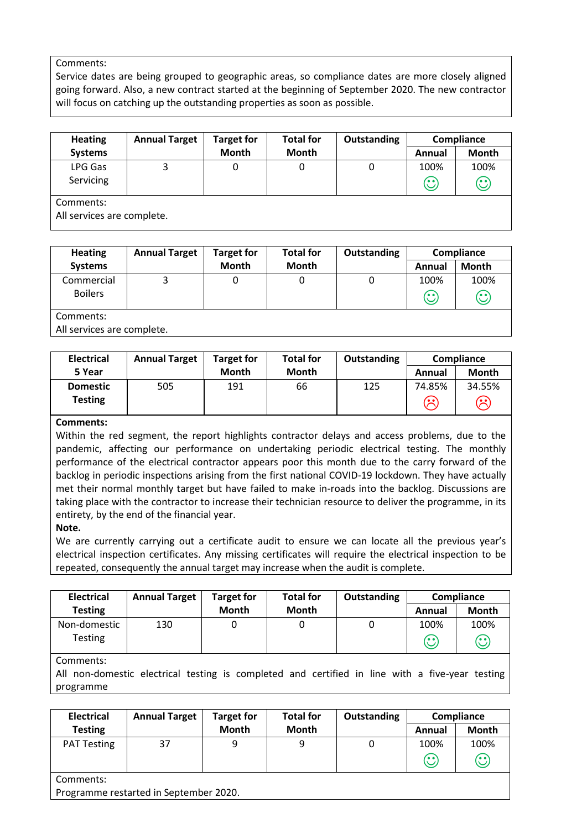### Comments:

Service dates are being grouped to geographic areas, so compliance dates are more closely aligned going forward. Also, a new contract started at the beginning of September 2020. The new contractor will focus on catching up the outstanding properties as soon as possible.

| <b>Heating</b>                        | <b>Annual Target</b> | <b>Target for</b> | <b>Total for</b> | Outstanding |                 | Compliance      |
|---------------------------------------|----------------------|-------------------|------------------|-------------|-----------------|-----------------|
| <b>Systems</b>                        |                      | <b>Month</b>      | <b>Month</b>     |             | Annual          | <b>Month</b>    |
| LPG Gas<br>Servicing                  |                      | 0                 |                  | 0           | 100%<br>$\odot$ | 100%<br>$\odot$ |
| Comments:<br>All comicos are complete |                      |                   |                  |             |                 |                 |

All services are complete.

| <b>Heating</b>            | <b>Annual Target</b> | <b>Target for</b> | <b>Total for</b> | Outstanding | Compliance |              |
|---------------------------|----------------------|-------------------|------------------|-------------|------------|--------------|
| <b>Systems</b>            |                      | Month             | Month            |             | Annual     | <b>Month</b> |
| Commercial                | 3                    |                   |                  |             | 100%       | 100%         |
| <b>Boilers</b>            |                      |                   |                  |             | $\odot$    | $\odot$      |
| Comments:                 |                      |                   |                  |             |            |              |
| All convices are complete |                      |                   |                  |             |            |              |

All services are complete.

| <b>Electrical</b> | <b>Annual Target</b> | <b>Target for</b> | <b>Total for</b> | <b>Outstanding</b> | Compliance                                                           |        |
|-------------------|----------------------|-------------------|------------------|--------------------|----------------------------------------------------------------------|--------|
| 5 Year            |                      | <b>Month</b>      | Month            |                    | Annual                                                               | Month  |
| <b>Domestic</b>   | 505                  | 191               | 66               | 125                | 74.85%                                                               | 34.55% |
| Testing           |                      |                   |                  |                    | $\left( \begin{smallmatrix} \cdot & \cdot \end{smallmatrix} \right)$ | ල      |

### **Comments:**

Within the red segment, the report highlights contractor delays and access problems, due to the pandemic, affecting our performance on undertaking periodic electrical testing. The monthly performance of the electrical contractor appears poor this month due to the carry forward of the backlog in periodic inspections arising from the first national COVID-19 lockdown. They have actually met their normal monthly target but have failed to make in-roads into the backlog. Discussions are taking place with the contractor to increase their technician resource to deliver the programme, in its entirety, by the end of the financial year.

### **Note.**

We are currently carrying out a certificate audit to ensure we can locate all the previous year's electrical inspection certificates. Any missing certificates will require the electrical inspection to be repeated, consequently the annual target may increase when the audit is complete.

| <b>Electrical</b>       | <b>Annual Target</b> | <b>Target for</b> | <b>Total for</b> | Outstanding | Compliance        |                                 |
|-------------------------|----------------------|-------------------|------------------|-------------|-------------------|---------------------------------|
| <b>Testing</b>          |                      | <b>Month</b>      | <b>Month</b>     |             | Annual            | Month                           |
| Non-domestic<br>Testing | 130                  |                   |                  |             | 100%<br><b>65</b> | 100%                            |
|                         |                      |                   |                  |             |                   | $\mathbf{\widehat{\mathbb{C}}}$ |

### Comments:

All non-domestic electrical testing is completed and certified in line with a five-year testing programme

| <b>Electrical</b>  | <b>Annual Target</b>                   | <b>Target for</b> | <b>Total for</b> | Outstanding | Compliance |              |  |  |
|--------------------|----------------------------------------|-------------------|------------------|-------------|------------|--------------|--|--|
| <b>Testing</b>     |                                        | <b>Month</b>      | <b>Month</b>     |             | Annual     | <b>Month</b> |  |  |
| <b>PAT Testing</b> | 37                                     | 9                 | 9                | 0           | 100%       | 100%         |  |  |
|                    |                                        |                   |                  |             | $\odot$    | $\odot$      |  |  |
| Comments:          |                                        |                   |                  |             |            |              |  |  |
|                    | Programme restarted in September 2020. |                   |                  |             |            |              |  |  |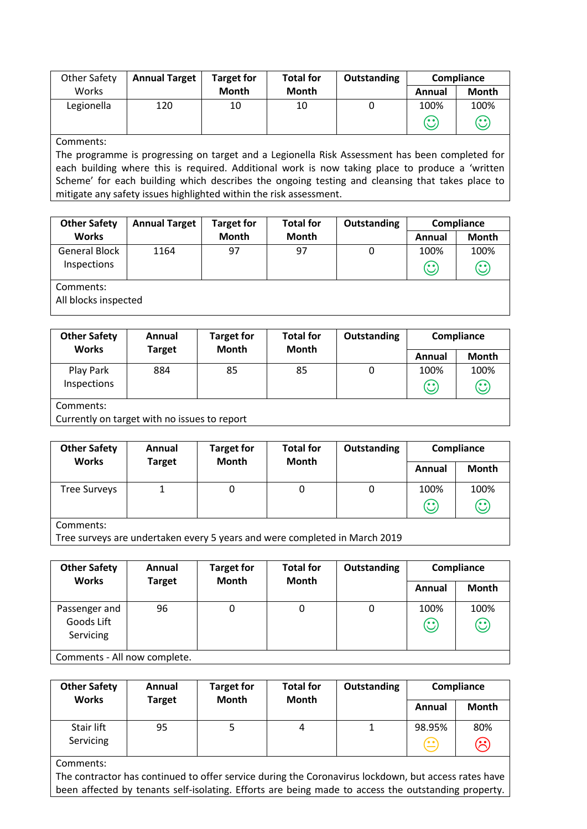| Other Safety | <b>Annual Target</b> | <b>Target for</b> | <b>Total for</b> | Outstanding | Compliance |                                |
|--------------|----------------------|-------------------|------------------|-------------|------------|--------------------------------|
| Works        |                      | <b>Month</b>      | <b>Month</b>     |             | Annual     | Month                          |
| Legionella   | 120                  | 10                | 10               |             | 100%       | 100%                           |
|              |                      |                   |                  |             | 60         | $\mathbf{\large \textcirc \ }$ |

#### Comments:

The programme is progressing on target and a Legionella Risk Assessment has been completed for each building where this is required. Additional work is now taking place to produce a 'written Scheme' for each building which describes the ongoing testing and cleansing that takes place to mitigate any safety issues highlighted within the risk assessment.

| <b>Other Safety</b>                 | <b>Annual Target</b> | <b>Target for</b> | <b>Total for</b> | Outstanding |                 | Compliance                             |
|-------------------------------------|----------------------|-------------------|------------------|-------------|-----------------|----------------------------------------|
| <b>Works</b>                        |                      | <b>Month</b>      | <b>Month</b>     |             | Annual          | <b>Month</b>                           |
| <b>General Block</b><br>Inspections | 1164                 | 97                | 97               | O           | 100%<br>$\odot$ | 100%<br>$\mathbb{C}% _{n}^{X\times n}$ |
| Comments:                           |                      |                   |                  |             |                 |                                        |

All blocks inspected

| <b>Other Safety</b><br><b>Works</b> | Annual<br><b>Target</b> | <b>Target for</b><br>Month | <b>Total for</b><br><b>Month</b> | Outstanding |                 | Compliance           |
|-------------------------------------|-------------------------|----------------------------|----------------------------------|-------------|-----------------|----------------------|
|                                     |                         |                            |                                  |             | Annual          | <b>Month</b>         |
| Play Park<br>Inspections            | 884                     | 85                         | 85                               | 0           | 100%<br>$\odot$ | 100%<br>$\mathbb{C}$ |
| Comments:                           |                         |                            |                                  |             |                 |                      |

Currently on target with no issues to report

| <b>Other Safety</b><br><b>Works</b> | Annual<br><b>Target</b> | <b>Target for</b><br><b>Month</b> | <b>Total for</b><br><b>Month</b> | Outstanding  | Compliance                    |                                         |
|-------------------------------------|-------------------------|-----------------------------------|----------------------------------|--------------|-------------------------------|-----------------------------------------|
|                                     |                         |                                   | Annual                           | <b>Month</b> |                               |                                         |
| <b>Tree Surveys</b>                 |                         |                                   |                                  | 0            | 100%<br>$\mathbf{\copyright}$ | 100%<br>$\mathbf{\widehat{\mathbb{C}}}$ |
|                                     |                         |                                   |                                  |              |                               |                                         |

Comments:

Tree surveys are undertaken every 5 years and were completed in March 2019

| <b>Other Safety</b>                      | <b>Total for</b><br>Annual<br><b>Target for</b><br>Month<br><b>Month</b><br><b>Target</b> | Outstanding |        | Compliance   |                 |                 |  |  |  |
|------------------------------------------|-------------------------------------------------------------------------------------------|-------------|--------|--------------|-----------------|-----------------|--|--|--|
| <b>Works</b>                             |                                                                                           |             | Annual | <b>Month</b> |                 |                 |  |  |  |
| Passenger and<br>Goods Lift<br>Servicing | 96                                                                                        | 0           |        | 0            | 100%<br>$\odot$ | 100%<br>$\odot$ |  |  |  |
|                                          | Comments - All now complete.                                                              |             |        |              |                 |                 |  |  |  |

| <b>Month</b><br>Annual<br>Stair lift<br>98.95%<br>95<br>4<br>$\overline{(\cdot)}$ | <b>Other Safety</b><br><b>Works</b> | Outstanding | <b>Total for</b> | <b>Target for</b><br>Month | Annual        |  |
|-----------------------------------------------------------------------------------|-------------------------------------|-------------|------------------|----------------------------|---------------|--|
|                                                                                   |                                     |             |                  |                            | <b>Target</b> |  |
|                                                                                   | Servicing                           |             |                  |                            |               |  |

Comments:

The contractor has continued to offer service during the Coronavirus lockdown, but access rates have been affected by tenants self-isolating. Efforts are being made to access the outstanding property.